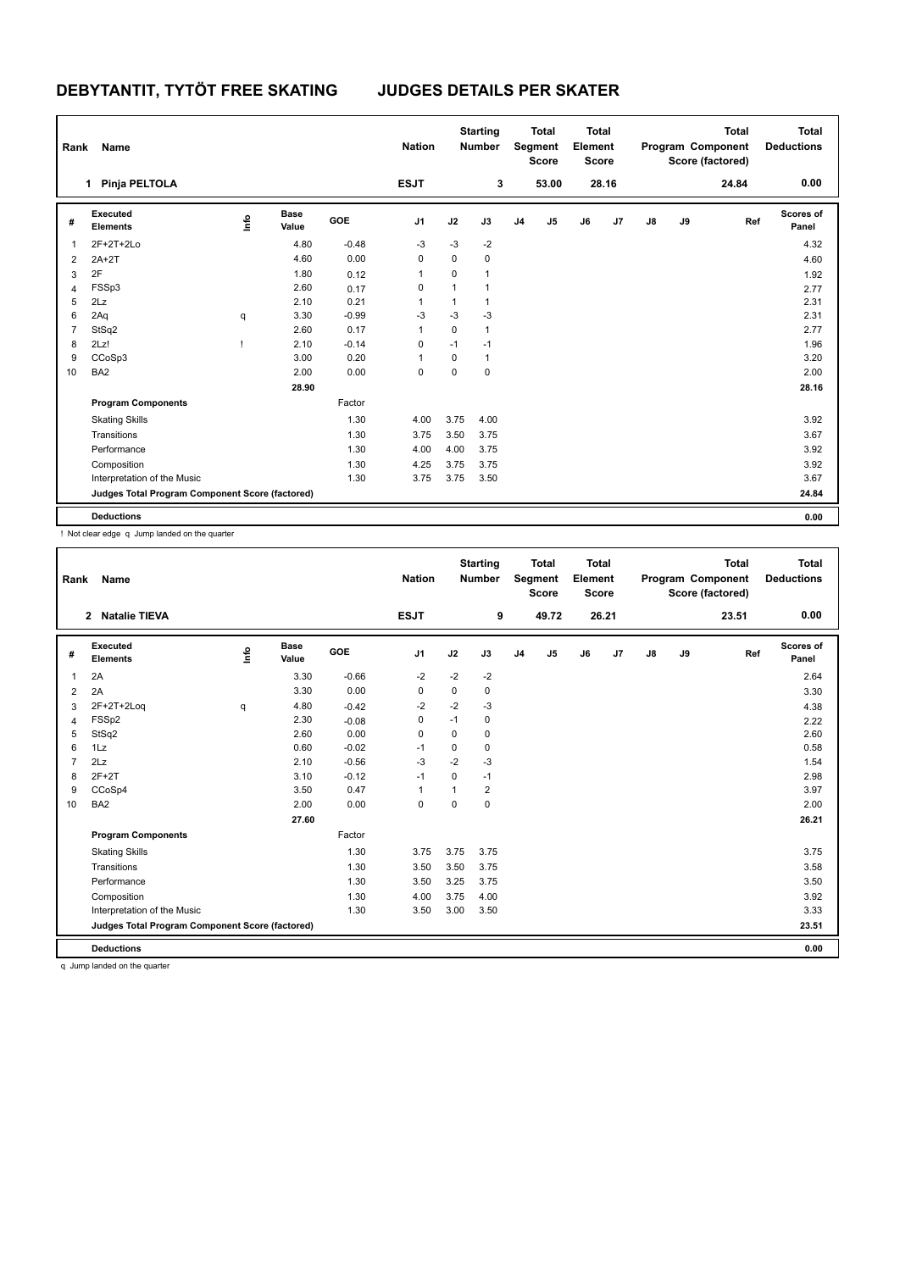| Rank           | Name                                            |      |                      |         | <b>Nation</b>  |              | <b>Starting</b><br><b>Number</b> |                | <b>Total</b><br>Segment<br><b>Score</b> | <b>Total</b><br>Element<br><b>Score</b> |       |    |    | <b>Total</b><br>Program Component<br>Score (factored) | <b>Total</b><br><b>Deductions</b> |
|----------------|-------------------------------------------------|------|----------------------|---------|----------------|--------------|----------------------------------|----------------|-----------------------------------------|-----------------------------------------|-------|----|----|-------------------------------------------------------|-----------------------------------|
|                | Pinja PELTOLA<br>1                              |      |                      |         | <b>ESJT</b>    |              | 3                                |                | 53.00                                   |                                         | 28.16 |    |    | 24.84                                                 | 0.00                              |
| #              | Executed<br><b>Elements</b>                     | ١mfo | <b>Base</b><br>Value | GOE     | J <sub>1</sub> | J2           | J3                               | J <sub>4</sub> | J5                                      | J6                                      | J7    | J8 | J9 | Ref                                                   | Scores of<br>Panel                |
| -1             | $2F+2T+2Lo$                                     |      | 4.80                 | $-0.48$ | $-3$           | $-3$         | $-2$                             |                |                                         |                                         |       |    |    |                                                       | 4.32                              |
| 2              | $2A+2T$                                         |      | 4.60                 | 0.00    | 0              | 0            | $\pmb{0}$                        |                |                                         |                                         |       |    |    |                                                       | 4.60                              |
| 3              | 2F                                              |      | 1.80                 | 0.12    | 1              | 0            | $\overline{1}$                   |                |                                         |                                         |       |    |    |                                                       | 1.92                              |
| 4              | FSSp3                                           |      | 2.60                 | 0.17    | 0              | $\mathbf{1}$ | $\mathbf 1$                      |                |                                         |                                         |       |    |    |                                                       | 2.77                              |
| 5              | 2Lz                                             |      | 2.10                 | 0.21    | 1              | 1            | $\mathbf{1}$                     |                |                                         |                                         |       |    |    |                                                       | 2.31                              |
| 6              | 2Aq                                             | q    | 3.30                 | $-0.99$ | -3             | $-3$         | $-3$                             |                |                                         |                                         |       |    |    |                                                       | 2.31                              |
| $\overline{7}$ | StSq2                                           |      | 2.60                 | 0.17    | 1              | 0            | $\mathbf{1}$                     |                |                                         |                                         |       |    |    |                                                       | 2.77                              |
| 8              | 2Lz!                                            |      | 2.10                 | $-0.14$ | 0              | $-1$         | $-1$                             |                |                                         |                                         |       |    |    |                                                       | 1.96                              |
| 9              | CCoSp3                                          |      | 3.00                 | 0.20    | 1              | 0            | $\mathbf{1}$                     |                |                                         |                                         |       |    |    |                                                       | 3.20                              |
| 10             | BA <sub>2</sub>                                 |      | 2.00                 | 0.00    | 0              | 0            | $\mathbf 0$                      |                |                                         |                                         |       |    |    |                                                       | 2.00                              |
|                |                                                 |      | 28.90                |         |                |              |                                  |                |                                         |                                         |       |    |    |                                                       | 28.16                             |
|                | <b>Program Components</b>                       |      |                      | Factor  |                |              |                                  |                |                                         |                                         |       |    |    |                                                       |                                   |
|                | <b>Skating Skills</b>                           |      |                      | 1.30    | 4.00           | 3.75         | 4.00                             |                |                                         |                                         |       |    |    |                                                       | 3.92                              |
|                | Transitions                                     |      |                      | 1.30    | 3.75           | 3.50         | 3.75                             |                |                                         |                                         |       |    |    |                                                       | 3.67                              |
|                | Performance                                     |      |                      | 1.30    | 4.00           | 4.00         | 3.75                             |                |                                         |                                         |       |    |    |                                                       | 3.92                              |
|                | Composition                                     |      |                      | 1.30    | 4.25           | 3.75         | 3.75                             |                |                                         |                                         |       |    |    |                                                       | 3.92                              |
|                | Interpretation of the Music                     |      |                      | 1.30    | 3.75           | 3.75         | 3.50                             |                |                                         |                                         |       |    |    |                                                       | 3.67                              |
|                | Judges Total Program Component Score (factored) |      |                      |         |                |              |                                  |                |                                         |                                         |       |    |    |                                                       | 24.84                             |
|                | <b>Deductions</b>                               |      |                      |         |                |              |                                  |                |                                         |                                         |       |    |    |                                                       | 0.00                              |

! Not clear edge q Jump landed on the quarter

| Rank           | Name                                                |      |                      |            | <b>Nation</b> |      | <b>Starting</b><br>Number |                | <b>Total</b><br>Segment<br><b>Score</b> | <b>Total</b><br>Element<br><b>Score</b> |       |    |    | <b>Total</b><br>Program Component<br>Score (factored) | <b>Total</b><br><b>Deductions</b> |
|----------------|-----------------------------------------------------|------|----------------------|------------|---------------|------|---------------------------|----------------|-----------------------------------------|-----------------------------------------|-------|----|----|-------------------------------------------------------|-----------------------------------|
|                | <b>Natalie TIEVA</b><br>2                           |      |                      |            | <b>ESJT</b>   |      | 9                         |                | 49.72                                   |                                         | 26.21 |    |    | 23.51                                                 | 0.00                              |
| #              | Executed<br><b>Elements</b>                         | ١nfo | <b>Base</b><br>Value | <b>GOE</b> | J1            | J2   | J3                        | J <sub>4</sub> | J5                                      | J6                                      | J7    | J8 | J9 | Ref                                                   | Scores of<br>Panel                |
| $\overline{1}$ | 2A                                                  |      | 3.30                 | $-0.66$    | $-2$          | $-2$ | $-2$                      |                |                                         |                                         |       |    |    |                                                       | 2.64                              |
| 2              | 2A                                                  |      | 3.30                 | 0.00       | 0             | 0    | 0                         |                |                                         |                                         |       |    |    |                                                       | 3.30                              |
| 3              | 2F+2T+2Log                                          | q    | 4.80                 | $-0.42$    | $-2$          | $-2$ | $-3$                      |                |                                         |                                         |       |    |    |                                                       | 4.38                              |
| 4              | FSSp2                                               |      | 2.30                 | $-0.08$    | 0             | $-1$ | 0                         |                |                                         |                                         |       |    |    |                                                       | 2.22                              |
| 5              | StSq2                                               |      | 2.60                 | 0.00       | 0             | 0    | 0                         |                |                                         |                                         |       |    |    |                                                       | 2.60                              |
| 6              | 1Lz                                                 |      | 0.60                 | $-0.02$    | $-1$          | 0    | 0                         |                |                                         |                                         |       |    |    |                                                       | 0.58                              |
| $\overline{7}$ | 2Lz                                                 |      | 2.10                 | $-0.56$    | $-3$          | $-2$ | $-3$                      |                |                                         |                                         |       |    |    |                                                       | 1.54                              |
| 8              | $2F+2T$                                             |      | 3.10                 | $-0.12$    | $-1$          | 0    | $-1$                      |                |                                         |                                         |       |    |    |                                                       | 2.98                              |
| 9              | CCoSp4                                              |      | 3.50                 | 0.47       | $\mathbf{1}$  | 1    | $\overline{2}$            |                |                                         |                                         |       |    |    |                                                       | 3.97                              |
| 10             | BA <sub>2</sub>                                     |      | 2.00                 | 0.00       | $\mathbf 0$   | 0    | 0                         |                |                                         |                                         |       |    |    |                                                       | 2.00                              |
|                |                                                     |      | 27.60                |            |               |      |                           |                |                                         |                                         |       |    |    |                                                       | 26.21                             |
|                | <b>Program Components</b>                           |      |                      | Factor     |               |      |                           |                |                                         |                                         |       |    |    |                                                       |                                   |
|                | <b>Skating Skills</b>                               |      |                      | 1.30       | 3.75          | 3.75 | 3.75                      |                |                                         |                                         |       |    |    |                                                       | 3.75                              |
|                | Transitions                                         |      |                      | 1.30       | 3.50          | 3.50 | 3.75                      |                |                                         |                                         |       |    |    |                                                       | 3.58                              |
|                | Performance                                         |      |                      | 1.30       | 3.50          | 3.25 | 3.75                      |                |                                         |                                         |       |    |    |                                                       | 3.50                              |
|                | Composition                                         |      |                      | 1.30       | 4.00          | 3.75 | 4.00                      |                |                                         |                                         |       |    |    |                                                       | 3.92                              |
|                | Interpretation of the Music                         |      |                      | 1.30       | 3.50          | 3.00 | 3.50                      |                |                                         |                                         |       |    |    |                                                       | 3.33                              |
|                | Judges Total Program Component Score (factored)     |      |                      |            |               |      |                           |                |                                         |                                         |       |    |    |                                                       | 23.51                             |
|                | <b>Deductions</b>                                   |      |                      |            |               |      |                           |                |                                         |                                         |       |    |    |                                                       | 0.00                              |
|                | the changes there should not allow the companies of |      |                      |            |               |      |                           |                |                                         |                                         |       |    |    |                                                       |                                   |

q Jump landed on the quarter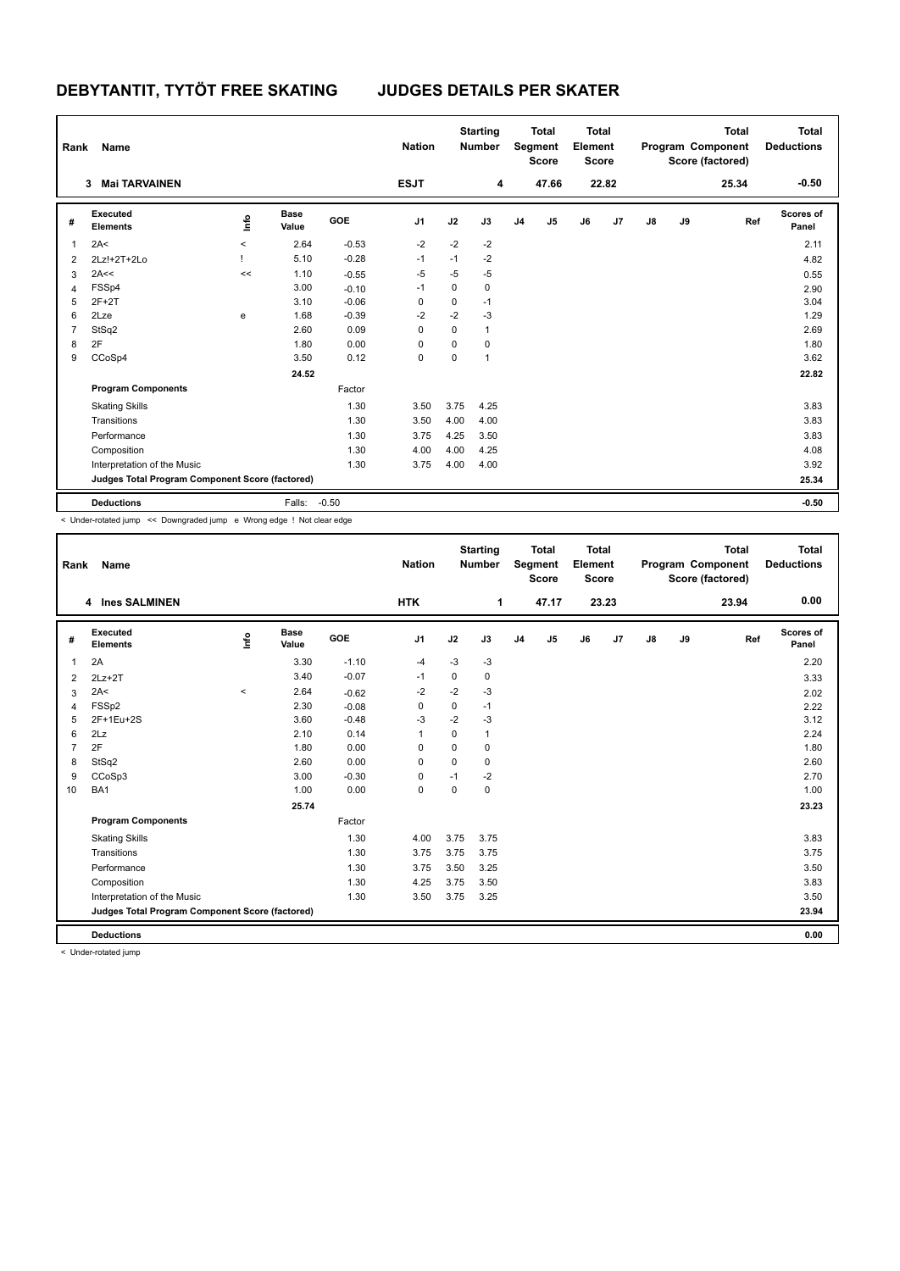| Rank           | Name                                            |                     |                      |         | <b>Nation</b>  |      | <b>Starting</b><br><b>Number</b> |                | <b>Total</b><br>Segment<br><b>Score</b> | <b>Total</b><br>Element<br><b>Score</b> |       |    |    | <b>Total</b><br>Program Component<br>Score (factored) | <b>Total</b><br><b>Deductions</b> |
|----------------|-------------------------------------------------|---------------------|----------------------|---------|----------------|------|----------------------------------|----------------|-----------------------------------------|-----------------------------------------|-------|----|----|-------------------------------------------------------|-----------------------------------|
|                | <b>Mai TARVAINEN</b><br>3                       |                     |                      |         | <b>ESJT</b>    |      | 4                                |                | 47.66                                   |                                         | 22.82 |    |    | 25.34                                                 | $-0.50$                           |
| #              | Executed<br><b>Elements</b>                     | ١mfo                | <b>Base</b><br>Value | GOE     | J <sub>1</sub> | J2   | J3                               | J <sub>4</sub> | J <sub>5</sub>                          | J6                                      | J7    | J8 | J9 | Ref                                                   | <b>Scores of</b><br>Panel         |
| $\overline{1}$ | 2A<                                             | $\hat{\phantom{a}}$ | 2.64                 | $-0.53$ | $-2$           | $-2$ | $-2$                             |                |                                         |                                         |       |    |    |                                                       | 2.11                              |
| 2              | 2Lz!+2T+2Lo                                     |                     | 5.10                 | $-0.28$ | $-1$           | $-1$ | $-2$                             |                |                                         |                                         |       |    |    |                                                       | 4.82                              |
| 3              | 2A<<                                            | <<                  | 1.10                 | $-0.55$ | $-5$           | $-5$ | -5                               |                |                                         |                                         |       |    |    |                                                       | 0.55                              |
| $\overline{4}$ | FSSp4                                           |                     | 3.00                 | $-0.10$ | $-1$           | 0    | 0                                |                |                                         |                                         |       |    |    |                                                       | 2.90                              |
| 5              | $2F+2T$                                         |                     | 3.10                 | $-0.06$ | 0              | 0    | $-1$                             |                |                                         |                                         |       |    |    |                                                       | 3.04                              |
| 6              | 2Lze                                            | e                   | 1.68                 | $-0.39$ | $-2$           | $-2$ | $-3$                             |                |                                         |                                         |       |    |    |                                                       | 1.29                              |
| $\overline{7}$ | StSq2                                           |                     | 2.60                 | 0.09    | $\Omega$       | 0    | $\mathbf{1}$                     |                |                                         |                                         |       |    |    |                                                       | 2.69                              |
| 8              | 2F                                              |                     | 1.80                 | 0.00    | 0              | 0    | 0                                |                |                                         |                                         |       |    |    |                                                       | 1.80                              |
| 9              | CCoSp4                                          |                     | 3.50                 | 0.12    | 0              | 0    | $\mathbf{1}$                     |                |                                         |                                         |       |    |    |                                                       | 3.62                              |
|                |                                                 |                     | 24.52                |         |                |      |                                  |                |                                         |                                         |       |    |    |                                                       | 22.82                             |
|                | <b>Program Components</b>                       |                     |                      | Factor  |                |      |                                  |                |                                         |                                         |       |    |    |                                                       |                                   |
|                | <b>Skating Skills</b>                           |                     |                      | 1.30    | 3.50           | 3.75 | 4.25                             |                |                                         |                                         |       |    |    |                                                       | 3.83                              |
|                | Transitions                                     |                     |                      | 1.30    | 3.50           | 4.00 | 4.00                             |                |                                         |                                         |       |    |    |                                                       | 3.83                              |
|                | Performance                                     |                     |                      | 1.30    | 3.75           | 4.25 | 3.50                             |                |                                         |                                         |       |    |    |                                                       | 3.83                              |
|                | Composition                                     |                     |                      | 1.30    | 4.00           | 4.00 | 4.25                             |                |                                         |                                         |       |    |    |                                                       | 4.08                              |
|                | Interpretation of the Music                     |                     |                      | 1.30    | 3.75           | 4.00 | 4.00                             |                |                                         |                                         |       |    |    |                                                       | 3.92                              |
|                | Judges Total Program Component Score (factored) |                     |                      |         |                |      |                                  |                |                                         |                                         |       |    |    |                                                       | 25.34                             |
|                | <b>Deductions</b>                               |                     | Falls:               | $-0.50$ |                |      |                                  |                |                                         |                                         |       |    |    |                                                       | $-0.50$                           |

< Under-rotated jump << Downgraded jump e Wrong edge ! Not clear edge

| Rank | Name                                            |                     |                      |         | <b>Nation</b>  |             | <b>Starting</b><br><b>Number</b> |                | <b>Total</b><br>Segment<br><b>Score</b> | <b>Total</b><br>Element<br><b>Score</b> |       |    |    | <b>Total</b><br>Program Component<br>Score (factored) | <b>Total</b><br><b>Deductions</b> |
|------|-------------------------------------------------|---------------------|----------------------|---------|----------------|-------------|----------------------------------|----------------|-----------------------------------------|-----------------------------------------|-------|----|----|-------------------------------------------------------|-----------------------------------|
|      | 4 Ines SALMINEN                                 |                     |                      |         | <b>HTK</b>     |             | 1                                |                | 47.17                                   |                                         | 23.23 |    |    | 23.94                                                 | 0.00                              |
| #    | Executed<br><b>Elements</b>                     | Linfo               | <b>Base</b><br>Value | GOE     | J <sub>1</sub> | J2          | J3                               | J <sub>4</sub> | J5                                      | J6                                      | J7    | J8 | J9 | Ref                                                   | <b>Scores of</b><br>Panel         |
| 1    | 2A                                              |                     | 3.30                 | $-1.10$ | $-4$           | $-3$        | $-3$                             |                |                                         |                                         |       |    |    |                                                       | 2.20                              |
| 2    | $2Lz+2T$                                        |                     | 3.40                 | $-0.07$ | -1             | 0           | 0                                |                |                                         |                                         |       |    |    |                                                       | 3.33                              |
| 3    | 2A<                                             | $\hat{\phantom{a}}$ | 2.64                 | $-0.62$ | -2             | $-2$        | $-3$                             |                |                                         |                                         |       |    |    |                                                       | 2.02                              |
| 4    | FSSp2                                           |                     | 2.30                 | $-0.08$ | $\mathbf 0$    | $\mathbf 0$ | $-1$                             |                |                                         |                                         |       |    |    |                                                       | 2.22                              |
| 5    | 2F+1Eu+2S                                       |                     | 3.60                 | $-0.48$ | $-3$           | $-2$        | $-3$                             |                |                                         |                                         |       |    |    |                                                       | 3.12                              |
| 6    | 2Lz                                             |                     | 2.10                 | 0.14    | $\mathbf{1}$   | $\mathbf 0$ | $\mathbf{1}$                     |                |                                         |                                         |       |    |    |                                                       | 2.24                              |
| 7    | 2F                                              |                     | 1.80                 | 0.00    | $\mathbf 0$    | $\Omega$    | 0                                |                |                                         |                                         |       |    |    |                                                       | 1.80                              |
| 8    | StSq2                                           |                     | 2.60                 | 0.00    | $\Omega$       | $\Omega$    | 0                                |                |                                         |                                         |       |    |    |                                                       | 2.60                              |
| 9    | CCoSp3                                          |                     | 3.00                 | $-0.30$ | $\mathbf 0$    | $-1$        | $-2$                             |                |                                         |                                         |       |    |    |                                                       | 2.70                              |
| 10   | BA1                                             |                     | 1.00                 | 0.00    | $\pmb{0}$      | $\mathbf 0$ | 0                                |                |                                         |                                         |       |    |    |                                                       | 1.00                              |
|      |                                                 |                     | 25.74                |         |                |             |                                  |                |                                         |                                         |       |    |    |                                                       | 23.23                             |
|      | <b>Program Components</b>                       |                     |                      | Factor  |                |             |                                  |                |                                         |                                         |       |    |    |                                                       |                                   |
|      | <b>Skating Skills</b>                           |                     |                      | 1.30    | 4.00           | 3.75        | 3.75                             |                |                                         |                                         |       |    |    |                                                       | 3.83                              |
|      | Transitions                                     |                     |                      | 1.30    | 3.75           | 3.75        | 3.75                             |                |                                         |                                         |       |    |    |                                                       | 3.75                              |
|      | Performance                                     |                     |                      | 1.30    | 3.75           | 3.50        | 3.25                             |                |                                         |                                         |       |    |    |                                                       | 3.50                              |
|      | Composition                                     |                     |                      | 1.30    | 4.25           | 3.75        | 3.50                             |                |                                         |                                         |       |    |    |                                                       | 3.83                              |
|      | Interpretation of the Music                     |                     |                      | 1.30    | 3.50           | 3.75        | 3.25                             |                |                                         |                                         |       |    |    |                                                       | 3.50                              |
|      | Judges Total Program Component Score (factored) |                     |                      |         |                |             |                                  |                |                                         |                                         |       |    |    |                                                       | 23.94                             |
|      | <b>Deductions</b>                               |                     |                      |         |                |             |                                  |                |                                         |                                         |       |    |    |                                                       | 0.00                              |
|      |                                                 |                     |                      |         |                |             |                                  |                |                                         |                                         |       |    |    |                                                       |                                   |

< Under-rotated jump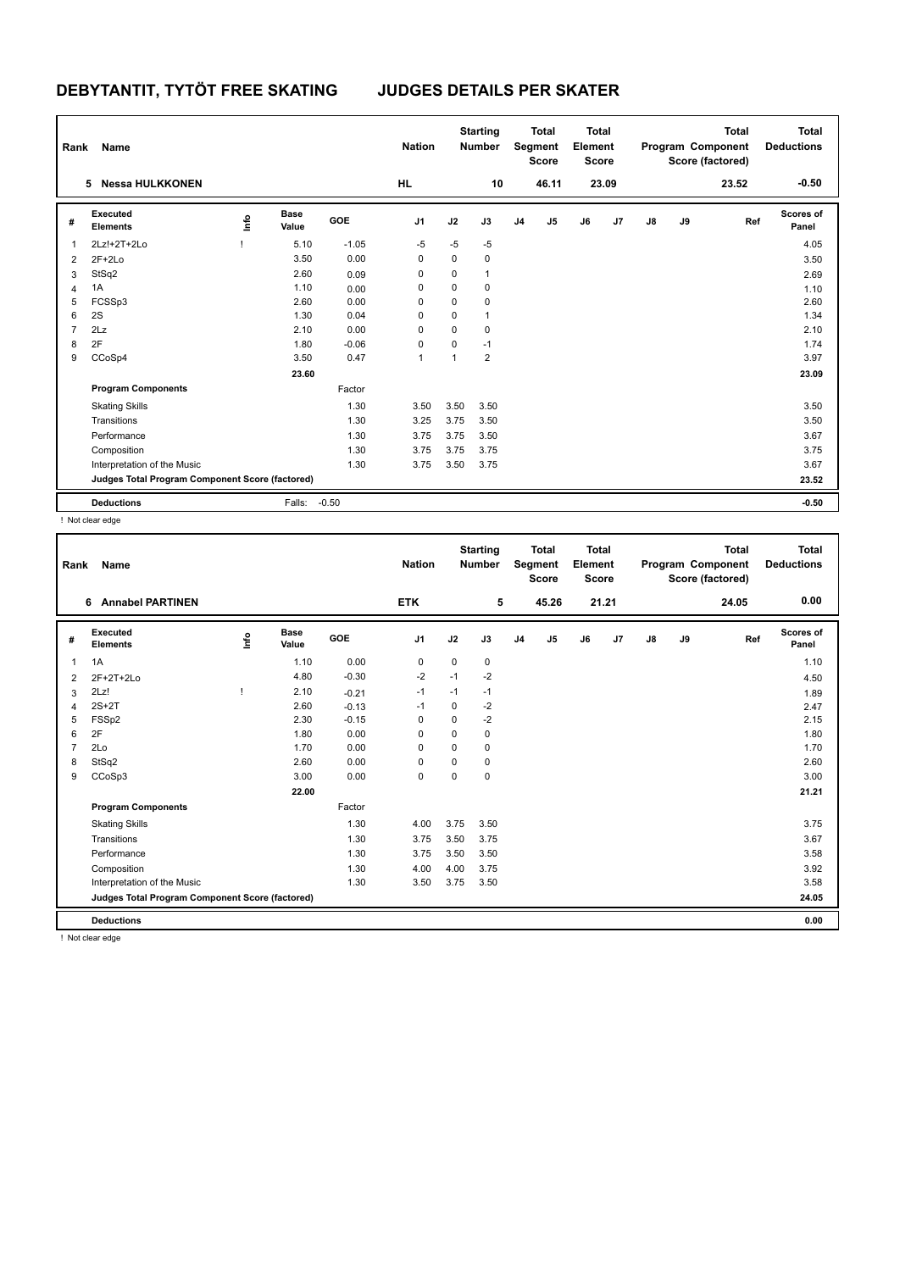| Rank           | Name                                            |    |                      |            | <b>Nation</b>  |             | <b>Starting</b><br><b>Number</b> |                | <b>Total</b><br>Segment<br><b>Score</b> | Total<br>Element<br><b>Score</b> |       |    |    | <b>Total</b><br>Program Component<br>Score (factored) | <b>Total</b><br><b>Deductions</b> |
|----------------|-------------------------------------------------|----|----------------------|------------|----------------|-------------|----------------------------------|----------------|-----------------------------------------|----------------------------------|-------|----|----|-------------------------------------------------------|-----------------------------------|
|                | 5 Nessa HULKKONEN                               |    |                      |            | HL             |             | 10                               |                | 46.11                                   |                                  | 23.09 |    |    | 23.52                                                 | $-0.50$                           |
| #              | Executed<br><b>Elements</b>                     | ١m | <b>Base</b><br>Value | <b>GOE</b> | J <sub>1</sub> | J2          | J3                               | J <sub>4</sub> | J5                                      | J6                               | J7    | J8 | J9 | Ref                                                   | <b>Scores of</b><br>Panel         |
| 1              | 2Lz!+2T+2Lo                                     |    | 5.10                 | $-1.05$    | $-5$           | $-5$        | $-5$                             |                |                                         |                                  |       |    |    |                                                       | 4.05                              |
| 2              | $2F+2Lo$                                        |    | 3.50                 | 0.00       | 0              | $\mathbf 0$ | $\mathbf 0$                      |                |                                         |                                  |       |    |    |                                                       | 3.50                              |
| 3              | StSq2                                           |    | 2.60                 | 0.09       | 0              | 0           | $\overline{1}$                   |                |                                         |                                  |       |    |    |                                                       | 2.69                              |
| 4              | 1A                                              |    | 1.10                 | 0.00       | 0              | $\mathbf 0$ | $\mathbf 0$                      |                |                                         |                                  |       |    |    |                                                       | 1.10                              |
| 5              | FCSSp3                                          |    | 2.60                 | 0.00       | 0              | $\mathbf 0$ | $\mathbf 0$                      |                |                                         |                                  |       |    |    |                                                       | 2.60                              |
| 6              | 2S                                              |    | 1.30                 | 0.04       | $\Omega$       | $\mathbf 0$ | 1                                |                |                                         |                                  |       |    |    |                                                       | 1.34                              |
| $\overline{7}$ | 2Lz                                             |    | 2.10                 | 0.00       | $\Omega$       | $\mathbf 0$ | 0                                |                |                                         |                                  |       |    |    |                                                       | 2.10                              |
| 8              | 2F                                              |    | 1.80                 | $-0.06$    | 0              | $\mathbf 0$ | $-1$                             |                |                                         |                                  |       |    |    |                                                       | 1.74                              |
| 9              | CCoSp4                                          |    | 3.50                 | 0.47       | 1              | 1           | $\overline{2}$                   |                |                                         |                                  |       |    |    |                                                       | 3.97                              |
|                |                                                 |    | 23.60                |            |                |             |                                  |                |                                         |                                  |       |    |    |                                                       | 23.09                             |
|                | <b>Program Components</b>                       |    |                      | Factor     |                |             |                                  |                |                                         |                                  |       |    |    |                                                       |                                   |
|                | <b>Skating Skills</b>                           |    |                      | 1.30       | 3.50           | 3.50        | 3.50                             |                |                                         |                                  |       |    |    |                                                       | 3.50                              |
|                | Transitions                                     |    |                      | 1.30       | 3.25           | 3.75        | 3.50                             |                |                                         |                                  |       |    |    |                                                       | 3.50                              |
|                | Performance                                     |    |                      | 1.30       | 3.75           | 3.75        | 3.50                             |                |                                         |                                  |       |    |    |                                                       | 3.67                              |
|                | Composition                                     |    |                      | 1.30       | 3.75           | 3.75        | 3.75                             |                |                                         |                                  |       |    |    |                                                       | 3.75                              |
|                | Interpretation of the Music                     |    |                      | 1.30       | 3.75           | 3.50        | 3.75                             |                |                                         |                                  |       |    |    |                                                       | 3.67                              |
|                | Judges Total Program Component Score (factored) |    |                      |            |                |             |                                  |                |                                         |                                  |       |    |    |                                                       | 23.52                             |
|                | <b>Deductions</b>                               |    | Falls:               | $-0.50$    |                |             |                                  |                |                                         |                                  |       |    |    |                                                       | $-0.50$                           |

! Not clear edge

| Rank | Name                                            |       |                      |         | <b>Nation</b>  |             | <b>Starting</b><br><b>Number</b> |                | <b>Total</b><br>Segment<br><b>Score</b> | <b>Total</b><br>Element<br><b>Score</b> |                |    |    | <b>Total</b><br>Program Component<br>Score (factored) | <b>Total</b><br><b>Deductions</b> |
|------|-------------------------------------------------|-------|----------------------|---------|----------------|-------------|----------------------------------|----------------|-----------------------------------------|-----------------------------------------|----------------|----|----|-------------------------------------------------------|-----------------------------------|
|      | <b>Annabel PARTINEN</b><br>6                    |       |                      |         | <b>ETK</b>     |             | 5                                |                | 45.26                                   |                                         | 21.21          |    |    | 24.05                                                 | 0.00                              |
| #    | Executed<br><b>Elements</b>                     | Linfo | <b>Base</b><br>Value | GOE     | J <sub>1</sub> | J2          | J3                               | J <sub>4</sub> | J <sub>5</sub>                          | J6                                      | J <sub>7</sub> | J8 | J9 | Ref                                                   | Scores of<br>Panel                |
| 1    | 1A                                              |       | 1.10                 | 0.00    | $\mathbf 0$    | $\mathbf 0$ | $\pmb{0}$                        |                |                                         |                                         |                |    |    |                                                       | 1.10                              |
| 2    | 2F+2T+2Lo                                       |       | 4.80                 | $-0.30$ | $-2$           | $-1$        | $-2$                             |                |                                         |                                         |                |    |    |                                                       | 4.50                              |
| 3    | 2Lz!                                            |       | 2.10                 | $-0.21$ | $-1$           | $-1$        | $-1$                             |                |                                         |                                         |                |    |    |                                                       | 1.89                              |
| 4    | $2S+2T$                                         |       | 2.60                 | $-0.13$ | $-1$           | $\mathbf 0$ | $-2$                             |                |                                         |                                         |                |    |    |                                                       | 2.47                              |
| 5    | FSSp2                                           |       | 2.30                 | $-0.15$ | 0              | 0           | $-2$                             |                |                                         |                                         |                |    |    |                                                       | 2.15                              |
| 6    | 2F                                              |       | 1.80                 | 0.00    | $\Omega$       | $\Omega$    | $\mathbf 0$                      |                |                                         |                                         |                |    |    |                                                       | 1.80                              |
| 7    | 2Lo                                             |       | 1.70                 | 0.00    | $\mathbf 0$    | $\Omega$    | $\mathbf 0$                      |                |                                         |                                         |                |    |    |                                                       | 1.70                              |
| 8    | StSq2                                           |       | 2.60                 | 0.00    | 0              | $\mathbf 0$ | 0                                |                |                                         |                                         |                |    |    |                                                       | 2.60                              |
| 9    | CCoSp3                                          |       | 3.00                 | 0.00    | $\mathbf 0$    | $\Omega$    | $\mathbf 0$                      |                |                                         |                                         |                |    |    |                                                       | 3.00                              |
|      |                                                 |       | 22.00                |         |                |             |                                  |                |                                         |                                         |                |    |    |                                                       | 21.21                             |
|      | <b>Program Components</b>                       |       |                      | Factor  |                |             |                                  |                |                                         |                                         |                |    |    |                                                       |                                   |
|      | <b>Skating Skills</b>                           |       |                      | 1.30    | 4.00           | 3.75        | 3.50                             |                |                                         |                                         |                |    |    |                                                       | 3.75                              |
|      | Transitions                                     |       |                      | 1.30    | 3.75           | 3.50        | 3.75                             |                |                                         |                                         |                |    |    |                                                       | 3.67                              |
|      | Performance                                     |       |                      | 1.30    | 3.75           | 3.50        | 3.50                             |                |                                         |                                         |                |    |    |                                                       | 3.58                              |
|      | Composition                                     |       |                      | 1.30    | 4.00           | 4.00        | 3.75                             |                |                                         |                                         |                |    |    |                                                       | 3.92                              |
|      | Interpretation of the Music                     |       |                      | 1.30    | 3.50           | 3.75        | 3.50                             |                |                                         |                                         |                |    |    |                                                       | 3.58                              |
|      | Judges Total Program Component Score (factored) |       |                      |         |                |             |                                  |                |                                         |                                         |                |    |    |                                                       | 24.05                             |
|      | <b>Deductions</b>                               |       |                      |         |                |             |                                  |                |                                         |                                         |                |    |    |                                                       | 0.00                              |

! Not clear edge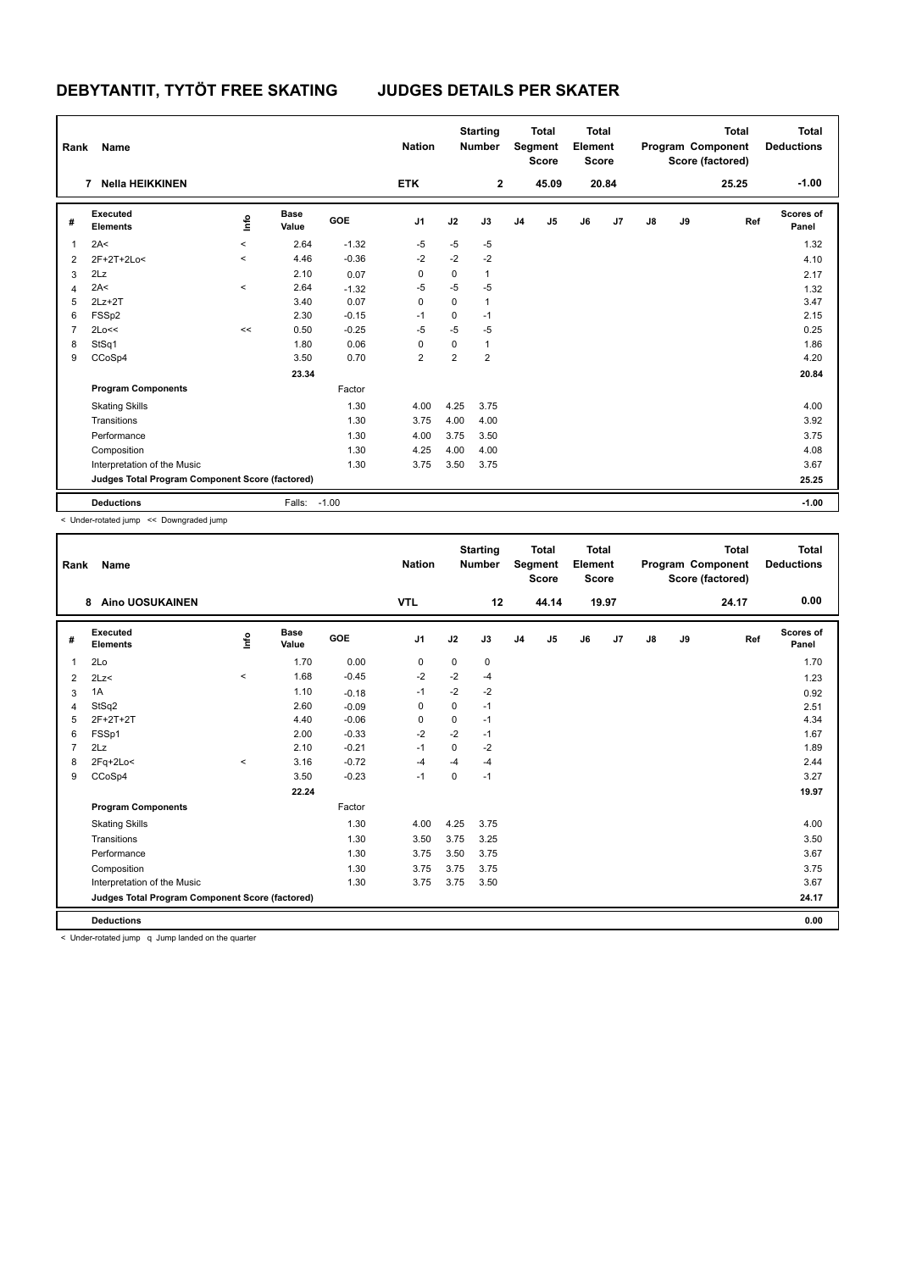| Rank           | Name                                            |                     |                      |         | <b>Nation</b>  |                | <b>Starting</b><br><b>Number</b> |                | <b>Total</b><br>Segment<br><b>Score</b> | <b>Total</b><br>Element<br><b>Score</b> |       |               |    | <b>Total</b><br>Program Component<br>Score (factored) | <b>Total</b><br><b>Deductions</b> |
|----------------|-------------------------------------------------|---------------------|----------------------|---------|----------------|----------------|----------------------------------|----------------|-----------------------------------------|-----------------------------------------|-------|---------------|----|-------------------------------------------------------|-----------------------------------|
|                | Nella HEIKKINEN<br>7                            |                     |                      |         | <b>ETK</b>     |                | $\overline{2}$                   |                | 45.09                                   |                                         | 20.84 |               |    | 25.25                                                 | $-1.00$                           |
| #              | Executed<br><b>Elements</b>                     | ١mfo                | <b>Base</b><br>Value | GOE     | J <sub>1</sub> | J2             | J3                               | J <sub>4</sub> | J <sub>5</sub>                          | J6                                      | J7    | $\mathsf{J}8$ | J9 | Ref                                                   | <b>Scores of</b><br>Panel         |
| 1              | 2A<                                             | $\hat{\phantom{a}}$ | 2.64                 | $-1.32$ | $-5$           | $-5$           | -5                               |                |                                         |                                         |       |               |    |                                                       | 1.32                              |
| $\overline{2}$ | 2F+2T+2Lo<                                      | $\prec$             | 4.46                 | $-0.36$ | $-2$           | $-2$           | $-2$                             |                |                                         |                                         |       |               |    |                                                       | 4.10                              |
| 3              | 2Lz                                             |                     | 2.10                 | 0.07    | 0              | 0              | $\mathbf{1}$                     |                |                                         |                                         |       |               |    |                                                       | 2.17                              |
| 4              | 2A<                                             | $\,<$               | 2.64                 | $-1.32$ | $-5$           | $-5$           | $-5$                             |                |                                         |                                         |       |               |    |                                                       | 1.32                              |
| 5              | $2Lz+2T$                                        |                     | 3.40                 | 0.07    | 0              | 0              | $\mathbf{1}$                     |                |                                         |                                         |       |               |    |                                                       | 3.47                              |
| 6              | FSSp2                                           |                     | 2.30                 | $-0.15$ | $-1$           | 0              | $-1$                             |                |                                         |                                         |       |               |    |                                                       | 2.15                              |
| $\overline{7}$ | 2Lo<<                                           | <<                  | 0.50                 | $-0.25$ | $-5$           | $-5$           | $-5$                             |                |                                         |                                         |       |               |    |                                                       | 0.25                              |
| 8              | StSq1                                           |                     | 1.80                 | 0.06    | 0              | 0              | $\mathbf{1}$                     |                |                                         |                                         |       |               |    |                                                       | 1.86                              |
| 9              | CCoSp4                                          |                     | 3.50                 | 0.70    | $\overline{2}$ | $\overline{2}$ | $\overline{2}$                   |                |                                         |                                         |       |               |    |                                                       | 4.20                              |
|                |                                                 |                     | 23.34                |         |                |                |                                  |                |                                         |                                         |       |               |    |                                                       | 20.84                             |
|                | <b>Program Components</b>                       |                     |                      | Factor  |                |                |                                  |                |                                         |                                         |       |               |    |                                                       |                                   |
|                | <b>Skating Skills</b>                           |                     |                      | 1.30    | 4.00           | 4.25           | 3.75                             |                |                                         |                                         |       |               |    |                                                       | 4.00                              |
|                | Transitions                                     |                     |                      | 1.30    | 3.75           | 4.00           | 4.00                             |                |                                         |                                         |       |               |    |                                                       | 3.92                              |
|                | Performance                                     |                     |                      | 1.30    | 4.00           | 3.75           | 3.50                             |                |                                         |                                         |       |               |    |                                                       | 3.75                              |
|                | Composition                                     |                     |                      | 1.30    | 4.25           | 4.00           | 4.00                             |                |                                         |                                         |       |               |    |                                                       | 4.08                              |
|                | Interpretation of the Music                     |                     |                      | 1.30    | 3.75           | 3.50           | 3.75                             |                |                                         |                                         |       |               |    |                                                       | 3.67                              |
|                | Judges Total Program Component Score (factored) |                     |                      |         |                |                |                                  |                |                                         |                                         |       |               |    |                                                       | 25.25                             |
|                | <b>Deductions</b>                               |                     | Falls: -1.00         |         |                |                |                                  |                |                                         |                                         |       |               |    |                                                       | $-1.00$                           |

< Under-rotated jump << Downgraded jump

| Rank | Name                                            |                     |                      |         | <b>Nation</b>  |             | <b>Starting</b><br><b>Number</b> |                | <b>Total</b><br>Segment<br><b>Score</b> | <b>Total</b><br>Element<br><b>Score</b> |       |    |    | <b>Total</b><br>Program Component<br>Score (factored) | <b>Total</b><br><b>Deductions</b> |
|------|-------------------------------------------------|---------------------|----------------------|---------|----------------|-------------|----------------------------------|----------------|-----------------------------------------|-----------------------------------------|-------|----|----|-------------------------------------------------------|-----------------------------------|
|      | 8<br><b>Aino UOSUKAINEN</b>                     |                     |                      |         | <b>VTL</b>     |             | 12                               |                | 44.14                                   |                                         | 19.97 |    |    | 24.17                                                 | 0.00                              |
| #    | Executed<br><b>Elements</b>                     | Linfo               | <b>Base</b><br>Value | GOE     | J <sub>1</sub> | J2          | J3                               | J <sub>4</sub> | J5                                      | J6                                      | J7    | J8 | J9 | Ref                                                   | <b>Scores of</b><br>Panel         |
| 1    | 2Lo                                             |                     | 1.70                 | 0.00    | 0              | 0           | 0                                |                |                                         |                                         |       |    |    |                                                       | 1.70                              |
| 2    | 2Lz<                                            | $\hat{\phantom{a}}$ | 1.68                 | $-0.45$ | $-2$           | $-2$        | $-4$                             |                |                                         |                                         |       |    |    |                                                       | 1.23                              |
| 3    | 1A                                              |                     | 1.10                 | $-0.18$ | $-1$           | $-2$        | $-2$                             |                |                                         |                                         |       |    |    |                                                       | 0.92                              |
| 4    | StSq2                                           |                     | 2.60                 | $-0.09$ | 0              | $\mathbf 0$ | $-1$                             |                |                                         |                                         |       |    |    |                                                       | 2.51                              |
| 5    | $2F+2T+2T$                                      |                     | 4.40                 | $-0.06$ | 0              | 0           | $-1$                             |                |                                         |                                         |       |    |    |                                                       | 4.34                              |
| 6    | FSSp1                                           |                     | 2.00                 | $-0.33$ | $-2$           | $-2$        | $-1$                             |                |                                         |                                         |       |    |    |                                                       | 1.67                              |
| 7    | 2Lz                                             |                     | 2.10                 | $-0.21$ | $-1$           | $\mathbf 0$ | $-2$                             |                |                                         |                                         |       |    |    |                                                       | 1.89                              |
| 8    | $2Fq+2Lo<$                                      | $\hat{\phantom{a}}$ | 3.16                 | $-0.72$ | $-4$           | $-4$        | -4                               |                |                                         |                                         |       |    |    |                                                       | 2.44                              |
| 9    | CCoSp4                                          |                     | 3.50                 | $-0.23$ | $-1$           | 0           | $-1$                             |                |                                         |                                         |       |    |    |                                                       | 3.27                              |
|      |                                                 |                     | 22.24                |         |                |             |                                  |                |                                         |                                         |       |    |    |                                                       | 19.97                             |
|      | <b>Program Components</b>                       |                     |                      | Factor  |                |             |                                  |                |                                         |                                         |       |    |    |                                                       |                                   |
|      | <b>Skating Skills</b>                           |                     |                      | 1.30    | 4.00           | 4.25        | 3.75                             |                |                                         |                                         |       |    |    |                                                       | 4.00                              |
|      | Transitions                                     |                     |                      | 1.30    | 3.50           | 3.75        | 3.25                             |                |                                         |                                         |       |    |    |                                                       | 3.50                              |
|      | Performance                                     |                     |                      | 1.30    | 3.75           | 3.50        | 3.75                             |                |                                         |                                         |       |    |    |                                                       | 3.67                              |
|      | Composition                                     |                     |                      | 1.30    | 3.75           | 3.75        | 3.75                             |                |                                         |                                         |       |    |    |                                                       | 3.75                              |
|      | Interpretation of the Music                     |                     |                      | 1.30    | 3.75           | 3.75        | 3.50                             |                |                                         |                                         |       |    |    |                                                       | 3.67                              |
|      | Judges Total Program Component Score (factored) |                     |                      |         |                |             |                                  |                |                                         |                                         |       |    |    |                                                       | 24.17                             |
|      | <b>Deductions</b>                               |                     |                      |         |                |             |                                  |                |                                         |                                         |       |    |    |                                                       | 0.00                              |

< Under-rotated jump q Jump landed on the quarter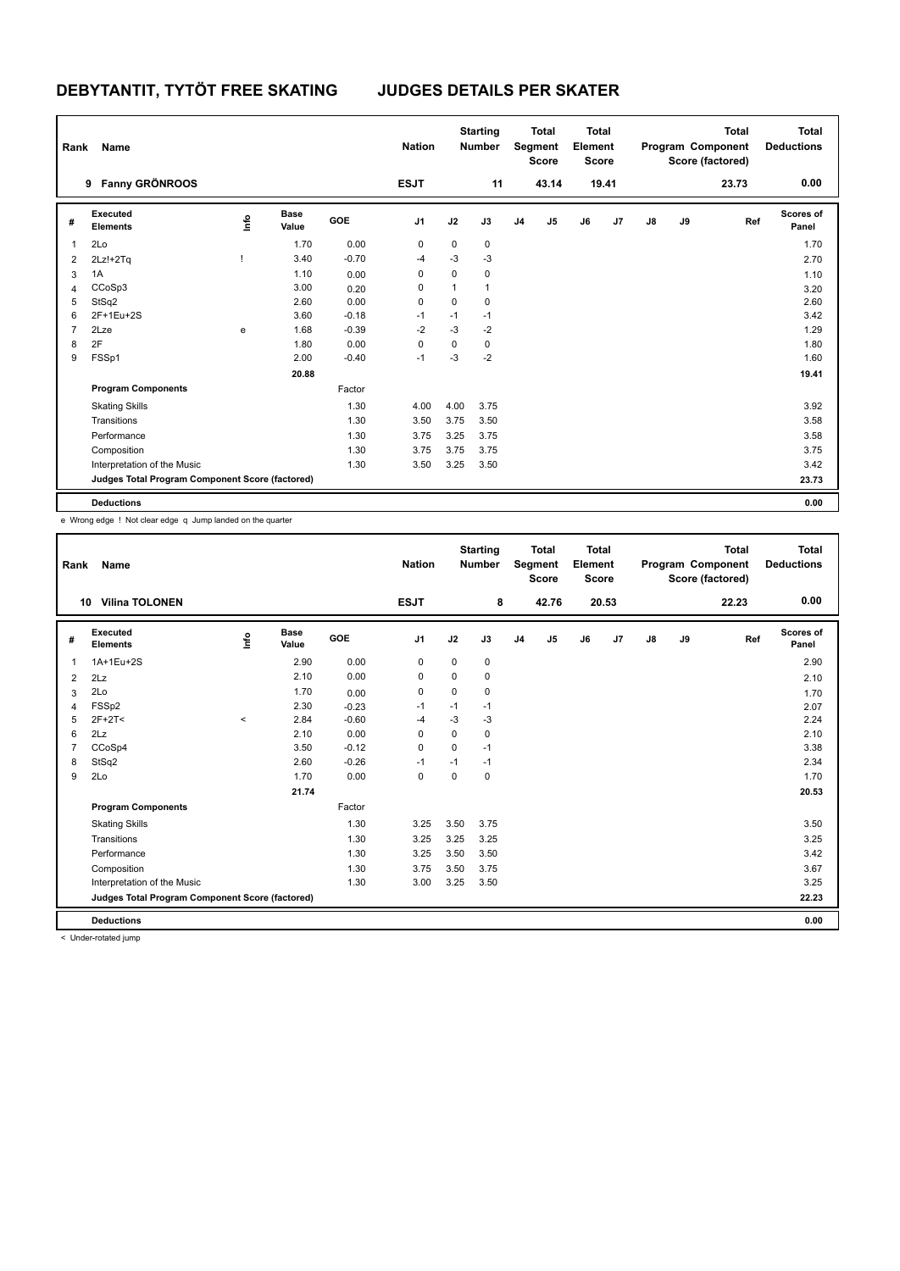| Rank           | Name                                            |      |                      |         | <b>Nation</b>  |             | <b>Starting</b><br><b>Number</b> |                | <b>Total</b><br>Segment<br><b>Score</b> | <b>Total</b><br>Element<br><b>Score</b> |       |               |    | <b>Total</b><br>Program Component<br>Score (factored) | <b>Total</b><br><b>Deductions</b> |
|----------------|-------------------------------------------------|------|----------------------|---------|----------------|-------------|----------------------------------|----------------|-----------------------------------------|-----------------------------------------|-------|---------------|----|-------------------------------------------------------|-----------------------------------|
|                | <b>Fanny GRÖNROOS</b><br>9                      |      |                      |         | <b>ESJT</b>    |             | 11                               |                | 43.14                                   |                                         | 19.41 |               |    | 23.73                                                 | 0.00                              |
| #              | Executed<br><b>Elements</b>                     | lnfo | <b>Base</b><br>Value | GOE     | J <sub>1</sub> | J2          | J3                               | J <sub>4</sub> | J5                                      | J6                                      | J7    | $\mathsf{J}8$ | J9 | Ref                                                   | <b>Scores of</b><br>Panel         |
| 1              | 2Lo                                             |      | 1.70                 | 0.00    | 0              | 0           | $\mathbf 0$                      |                |                                         |                                         |       |               |    |                                                       | 1.70                              |
| 2              | $2Lz!+2Tq$                                      |      | 3.40                 | $-0.70$ | $-4$           | $-3$        | $-3$                             |                |                                         |                                         |       |               |    |                                                       | 2.70                              |
| 3              | 1A                                              |      | 1.10                 | 0.00    | 0              | 0           | 0                                |                |                                         |                                         |       |               |    |                                                       | 1.10                              |
| $\overline{4}$ | CCoSp3                                          |      | 3.00                 | 0.20    | 0              | 1           | 1                                |                |                                         |                                         |       |               |    |                                                       | 3.20                              |
| 5              | StSq2                                           |      | 2.60                 | 0.00    | 0              | 0           | 0                                |                |                                         |                                         |       |               |    |                                                       | 2.60                              |
| 6              | 2F+1Eu+2S                                       |      | 3.60                 | $-0.18$ | $-1$           | $-1$        | $-1$                             |                |                                         |                                         |       |               |    |                                                       | 3.42                              |
| 7              | 2Lze                                            | e    | 1.68                 | $-0.39$ | $-2$           | $-3$        | $-2$                             |                |                                         |                                         |       |               |    |                                                       | 1.29                              |
| 8              | 2F                                              |      | 1.80                 | 0.00    | 0              | $\mathbf 0$ | 0                                |                |                                         |                                         |       |               |    |                                                       | 1.80                              |
| 9              | FSSp1                                           |      | 2.00                 | $-0.40$ | $-1$           | $-3$        | $-2$                             |                |                                         |                                         |       |               |    |                                                       | 1.60                              |
|                |                                                 |      | 20.88                |         |                |             |                                  |                |                                         |                                         |       |               |    |                                                       | 19.41                             |
|                | <b>Program Components</b>                       |      |                      | Factor  |                |             |                                  |                |                                         |                                         |       |               |    |                                                       |                                   |
|                | <b>Skating Skills</b>                           |      |                      | 1.30    | 4.00           | 4.00        | 3.75                             |                |                                         |                                         |       |               |    |                                                       | 3.92                              |
|                | Transitions                                     |      |                      | 1.30    | 3.50           | 3.75        | 3.50                             |                |                                         |                                         |       |               |    |                                                       | 3.58                              |
|                | Performance                                     |      |                      | 1.30    | 3.75           | 3.25        | 3.75                             |                |                                         |                                         |       |               |    |                                                       | 3.58                              |
|                | Composition                                     |      |                      | 1.30    | 3.75           | 3.75        | 3.75                             |                |                                         |                                         |       |               |    |                                                       | 3.75                              |
|                | Interpretation of the Music                     |      |                      | 1.30    | 3.50           | 3.25        | 3.50                             |                |                                         |                                         |       |               |    |                                                       | 3.42                              |
|                | Judges Total Program Component Score (factored) |      |                      |         |                |             |                                  |                |                                         |                                         |       |               |    |                                                       | 23.73                             |
|                | <b>Deductions</b>                               |      |                      |         |                |             |                                  |                |                                         |                                         |       |               |    |                                                       | 0.00                              |

e Wrong edge ! Not clear edge q Jump landed on the quarter

| Rank           | Name                                            |         |                      |         | <b>Nation</b>  |             | <b>Starting</b><br><b>Number</b> |                | <b>Total</b><br>Segment<br><b>Score</b> | <b>Total</b><br>Element<br><b>Score</b> |       |    |    | <b>Total</b><br>Program Component<br>Score (factored) | <b>Total</b><br><b>Deductions</b> |
|----------------|-------------------------------------------------|---------|----------------------|---------|----------------|-------------|----------------------------------|----------------|-----------------------------------------|-----------------------------------------|-------|----|----|-------------------------------------------------------|-----------------------------------|
|                | <b>Vilina TOLONEN</b><br>10                     |         |                      |         | <b>ESJT</b>    |             | 8                                |                | 42.76                                   |                                         | 20.53 |    |    | 22.23                                                 | 0.00                              |
| #              | Executed<br><b>Elements</b>                     | lnfo    | <b>Base</b><br>Value | GOE     | J <sub>1</sub> | J2          | J3                               | J <sub>4</sub> | J <sub>5</sub>                          | J6                                      | J7    | J8 | J9 | Ref                                                   | Scores of<br>Panel                |
| $\mathbf{1}$   | 1A+1Eu+2S                                       |         | 2.90                 | 0.00    | 0              | 0           | $\mathbf 0$                      |                |                                         |                                         |       |    |    |                                                       | 2.90                              |
| 2              | 2Lz                                             |         | 2.10                 | 0.00    | $\mathbf 0$    | 0           | 0                                |                |                                         |                                         |       |    |    |                                                       | 2.10                              |
| 3              | 2Lo                                             |         | 1.70                 | 0.00    | 0              | 0           | 0                                |                |                                         |                                         |       |    |    |                                                       | 1.70                              |
| 4              | FSS <sub>p2</sub>                               |         | 2.30                 | $-0.23$ | $-1$           | $-1$        | $-1$                             |                |                                         |                                         |       |    |    |                                                       | 2.07                              |
| 5              | $2F+2T<$                                        | $\prec$ | 2.84                 | $-0.60$ | $-4$           | $-3$        | $-3$                             |                |                                         |                                         |       |    |    |                                                       | 2.24                              |
| 6              | 2Lz                                             |         | 2.10                 | 0.00    | 0              | $\mathbf 0$ | 0                                |                |                                         |                                         |       |    |    |                                                       | 2.10                              |
| $\overline{7}$ | CCoSp4                                          |         | 3.50                 | $-0.12$ | $\Omega$       | $\Omega$    | $-1$                             |                |                                         |                                         |       |    |    |                                                       | 3.38                              |
| 8              | StSq2                                           |         | 2.60                 | $-0.26$ | $-1$           | $-1$        | $-1$                             |                |                                         |                                         |       |    |    |                                                       | 2.34                              |
| 9              | 2Lo                                             |         | 1.70                 | 0.00    | 0              | 0           | 0                                |                |                                         |                                         |       |    |    |                                                       | 1.70                              |
|                |                                                 |         | 21.74                |         |                |             |                                  |                |                                         |                                         |       |    |    |                                                       | 20.53                             |
|                | <b>Program Components</b>                       |         |                      | Factor  |                |             |                                  |                |                                         |                                         |       |    |    |                                                       |                                   |
|                | <b>Skating Skills</b>                           |         |                      | 1.30    | 3.25           | 3.50        | 3.75                             |                |                                         |                                         |       |    |    |                                                       | 3.50                              |
|                | Transitions                                     |         |                      | 1.30    | 3.25           | 3.25        | 3.25                             |                |                                         |                                         |       |    |    |                                                       | 3.25                              |
|                | Performance                                     |         |                      | 1.30    | 3.25           | 3.50        | 3.50                             |                |                                         |                                         |       |    |    |                                                       | 3.42                              |
|                | Composition                                     |         |                      | 1.30    | 3.75           | 3.50        | 3.75                             |                |                                         |                                         |       |    |    |                                                       | 3.67                              |
|                | Interpretation of the Music                     |         |                      | 1.30    | 3.00           | 3.25        | 3.50                             |                |                                         |                                         |       |    |    |                                                       | 3.25                              |
|                | Judges Total Program Component Score (factored) |         |                      |         |                |             |                                  |                |                                         |                                         |       |    |    |                                                       | 22.23                             |
|                | <b>Deductions</b>                               |         |                      |         |                |             |                                  |                |                                         |                                         |       |    |    |                                                       | 0.00                              |

< Under-rotated jump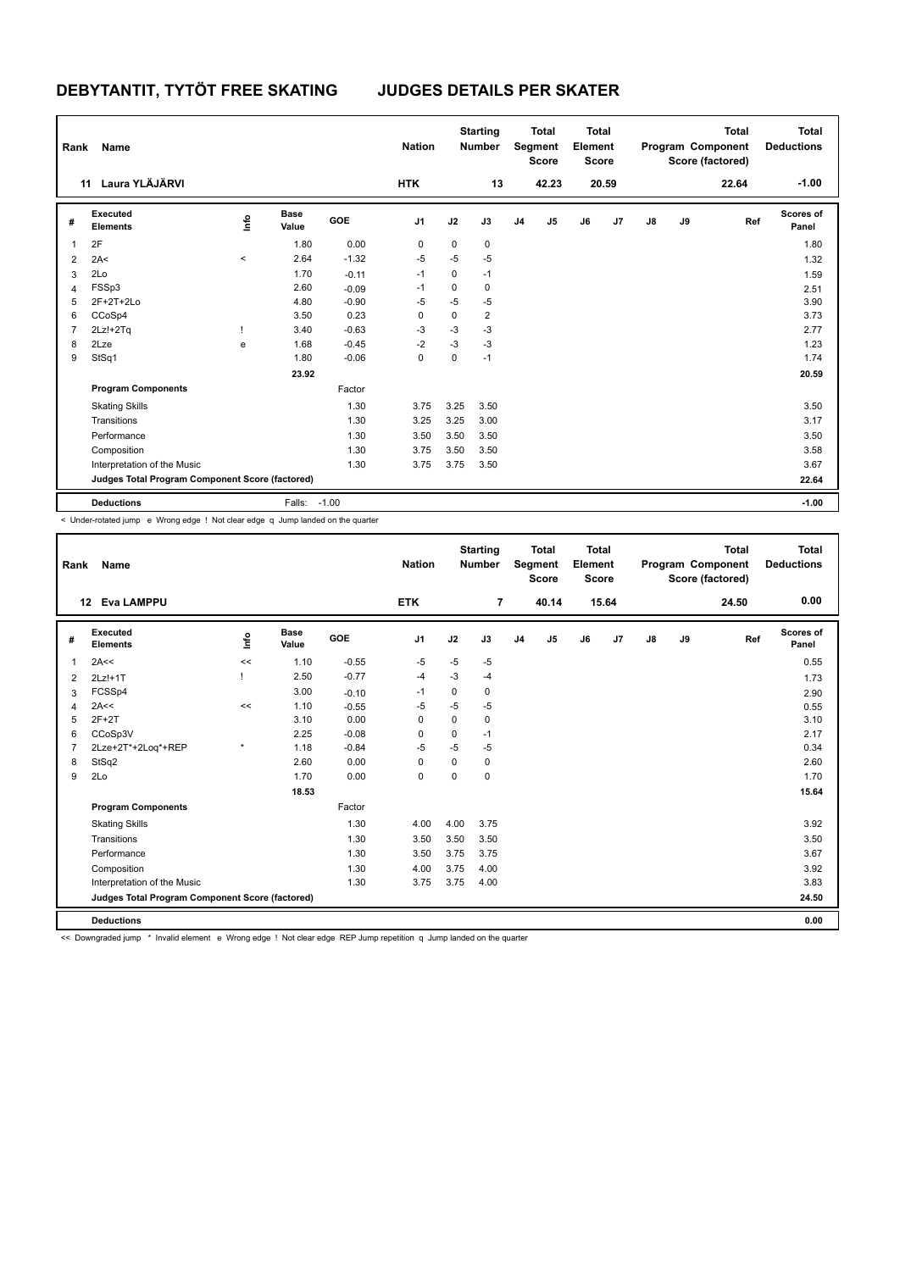| Rank           | Name                                            |          |                      |         | <b>Nation</b>  |      | <b>Starting</b><br><b>Number</b> |                | <b>Total</b><br>Segment<br><b>Score</b> | <b>Total</b><br>Element<br><b>Score</b> |       |               |    | <b>Total</b><br>Program Component<br>Score (factored) | <b>Total</b><br><b>Deductions</b> |
|----------------|-------------------------------------------------|----------|----------------------|---------|----------------|------|----------------------------------|----------------|-----------------------------------------|-----------------------------------------|-------|---------------|----|-------------------------------------------------------|-----------------------------------|
|                | 11 Laura YLÄJÄRVI                               |          |                      |         | <b>HTK</b>     |      | 13                               |                | 42.23                                   |                                         | 20.59 |               |    | 22.64                                                 | $-1.00$                           |
| #              | <b>Executed</b><br><b>Elements</b>              | ١mfo     | <b>Base</b><br>Value | GOE     | J <sub>1</sub> | J2   | J3                               | J <sub>4</sub> | J5                                      | J6                                      | J7    | $\mathsf{J}8$ | J9 | Ref                                                   | <b>Scores of</b><br>Panel         |
| 1              | 2F                                              |          | 1.80                 | 0.00    | 0              | 0    | 0                                |                |                                         |                                         |       |               |    |                                                       | 1.80                              |
| $\overline{2}$ | 2A<                                             | $\hat{}$ | 2.64                 | $-1.32$ | $-5$           | $-5$ | $-5$                             |                |                                         |                                         |       |               |    |                                                       | 1.32                              |
| 3              | 2Lo                                             |          | 1.70                 | $-0.11$ | $-1$           | 0    | $-1$                             |                |                                         |                                         |       |               |    |                                                       | 1.59                              |
| 4              | FSSp3                                           |          | 2.60                 | $-0.09$ | $-1$           | 0    | 0                                |                |                                         |                                         |       |               |    |                                                       | 2.51                              |
| 5              | $2F+2T+2Lo$                                     |          | 4.80                 | $-0.90$ | -5             | $-5$ | $-5$                             |                |                                         |                                         |       |               |    |                                                       | 3.90                              |
| 6              | CCoSp4                                          |          | 3.50                 | 0.23    | 0              | 0    | $\overline{2}$                   |                |                                         |                                         |       |               |    |                                                       | 3.73                              |
| $\overline{7}$ | $2Lz!+2Tq$                                      |          | 3.40                 | $-0.63$ | $-3$           | $-3$ | $-3$                             |                |                                         |                                         |       |               |    |                                                       | 2.77                              |
| 8              | 2Lze                                            | e        | 1.68                 | $-0.45$ | $-2$           | $-3$ | $-3$                             |                |                                         |                                         |       |               |    |                                                       | 1.23                              |
| 9              | StSq1                                           |          | 1.80                 | $-0.06$ | 0              | 0    | $-1$                             |                |                                         |                                         |       |               |    |                                                       | 1.74                              |
|                |                                                 |          | 23.92                |         |                |      |                                  |                |                                         |                                         |       |               |    |                                                       | 20.59                             |
|                | <b>Program Components</b>                       |          |                      | Factor  |                |      |                                  |                |                                         |                                         |       |               |    |                                                       |                                   |
|                | <b>Skating Skills</b>                           |          |                      | 1.30    | 3.75           | 3.25 | 3.50                             |                |                                         |                                         |       |               |    |                                                       | 3.50                              |
|                | Transitions                                     |          |                      | 1.30    | 3.25           | 3.25 | 3.00                             |                |                                         |                                         |       |               |    |                                                       | 3.17                              |
|                | Performance                                     |          |                      | 1.30    | 3.50           | 3.50 | 3.50                             |                |                                         |                                         |       |               |    |                                                       | 3.50                              |
|                | Composition                                     |          |                      | 1.30    | 3.75           | 3.50 | 3.50                             |                |                                         |                                         |       |               |    |                                                       | 3.58                              |
|                | Interpretation of the Music                     |          |                      | 1.30    | 3.75           | 3.75 | 3.50                             |                |                                         |                                         |       |               |    |                                                       | 3.67                              |
|                | Judges Total Program Component Score (factored) |          |                      |         |                |      |                                  |                |                                         |                                         |       |               |    |                                                       | 22.64                             |
|                | <b>Deductions</b>                               |          | Falls: -1.00         |         |                |      |                                  |                |                                         |                                         |       |               |    |                                                       | $-1.00$                           |

< Under-rotated jump e Wrong edge ! Not clear edge q Jump landed on the quarter

| Rank           | Name                                            |         |                      |            | <b>Nation</b>  |             | <b>Starting</b><br><b>Number</b> |                | <b>Total</b><br>Segment<br>Score | <b>Total</b><br>Element<br><b>Score</b> |       |    |    | <b>Total</b><br>Program Component<br>Score (factored) | <b>Total</b><br><b>Deductions</b> |
|----------------|-------------------------------------------------|---------|----------------------|------------|----------------|-------------|----------------------------------|----------------|----------------------------------|-----------------------------------------|-------|----|----|-------------------------------------------------------|-----------------------------------|
|                | 12 Eva LAMPPU                                   |         |                      |            | <b>ETK</b>     |             | $\overline{7}$                   |                | 40.14                            |                                         | 15.64 |    |    | 24.50                                                 | 0.00                              |
| #              | Executed<br><b>Elements</b>                     | lnfo    | <b>Base</b><br>Value | <b>GOE</b> | J <sub>1</sub> | J2          | J3                               | J <sub>4</sub> | J <sub>5</sub>                   | J6                                      | J7    | J8 | J9 | Ref                                                   | Scores of<br>Panel                |
| 1              | 2A<<                                            | <<      | 1.10                 | $-0.55$    | -5             | $-5$        | $-5$                             |                |                                  |                                         |       |    |    |                                                       | 0.55                              |
| 2              | $2Lz!+1T$                                       |         | 2.50                 | $-0.77$    | $-4$           | $-3$        | -4                               |                |                                  |                                         |       |    |    |                                                       | 1.73                              |
| 3              | FCSSp4                                          |         | 3.00                 | $-0.10$    | $-1$           | 0           | 0                                |                |                                  |                                         |       |    |    |                                                       | 2.90                              |
| $\overline{4}$ | 2A<<                                            | <<      | 1.10                 | $-0.55$    | $-5$           | $-5$        | $-5$                             |                |                                  |                                         |       |    |    |                                                       | 0.55                              |
| 5              | $2F+2T$                                         |         | 3.10                 | 0.00       | 0              | 0           | 0                                |                |                                  |                                         |       |    |    |                                                       | 3.10                              |
| 6              | CCoSp3V                                         |         | 2.25                 | $-0.08$    | 0              | 0           | $-1$                             |                |                                  |                                         |       |    |    |                                                       | 2.17                              |
| $\overline{7}$ | 2Lze+2T*+2Loq*+REP                              | $\star$ | 1.18                 | $-0.84$    | $-5$           | $-5$        | $-5$                             |                |                                  |                                         |       |    |    |                                                       | 0.34                              |
| 8              | StSq2                                           |         | 2.60                 | 0.00       | $\mathbf 0$    | $\mathbf 0$ | $\mathbf 0$                      |                |                                  |                                         |       |    |    |                                                       | 2.60                              |
| 9              | 2Lo                                             |         | 1.70                 | 0.00       | $\mathbf 0$    | $\mathbf 0$ | $\mathbf 0$                      |                |                                  |                                         |       |    |    |                                                       | 1.70                              |
|                |                                                 |         | 18.53                |            |                |             |                                  |                |                                  |                                         |       |    |    |                                                       | 15.64                             |
|                | <b>Program Components</b>                       |         |                      | Factor     |                |             |                                  |                |                                  |                                         |       |    |    |                                                       |                                   |
|                | <b>Skating Skills</b>                           |         |                      | 1.30       | 4.00           | 4.00        | 3.75                             |                |                                  |                                         |       |    |    |                                                       | 3.92                              |
|                | Transitions                                     |         |                      | 1.30       | 3.50           | 3.50        | 3.50                             |                |                                  |                                         |       |    |    |                                                       | 3.50                              |
|                | Performance                                     |         |                      | 1.30       | 3.50           | 3.75        | 3.75                             |                |                                  |                                         |       |    |    |                                                       | 3.67                              |
|                | Composition                                     |         |                      | 1.30       | 4.00           | 3.75        | 4.00                             |                |                                  |                                         |       |    |    |                                                       | 3.92                              |
|                | Interpretation of the Music                     |         |                      | 1.30       | 3.75           | 3.75        | 4.00                             |                |                                  |                                         |       |    |    |                                                       | 3.83                              |
|                | Judges Total Program Component Score (factored) |         |                      |            |                |             |                                  |                |                                  |                                         |       |    |    |                                                       | 24.50                             |
|                | <b>Deductions</b>                               |         |                      |            |                |             |                                  |                |                                  |                                         |       |    |    |                                                       | 0.00                              |

<< Downgraded jump \* Invalid element e Wrong edge ! Not clear edge REP Jump repetition q Jump landed on the quarter